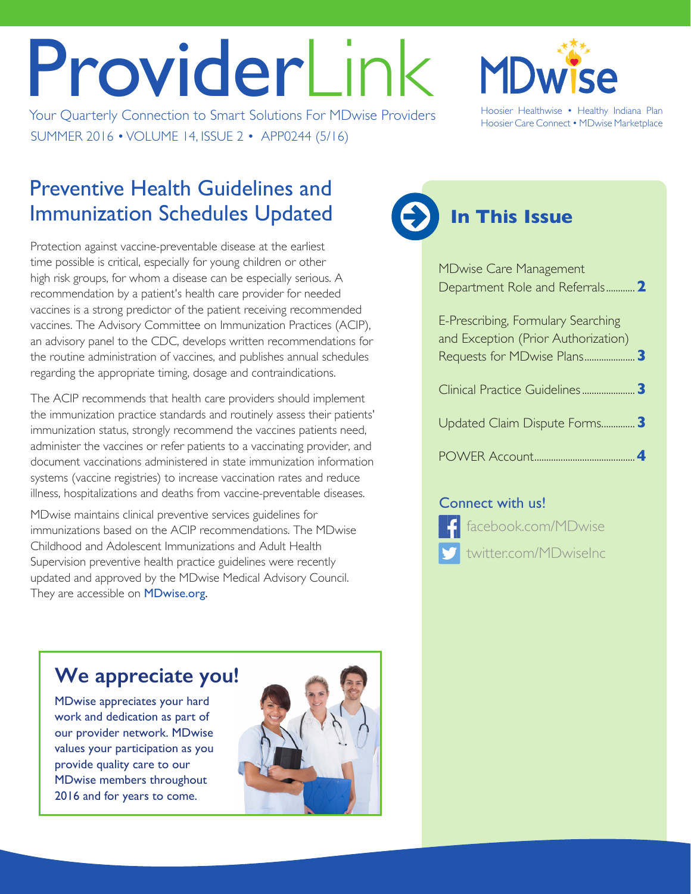# ProviderLink

Your Quarterly Connection to Smart Solutions For MDwise Providers Hoosier Healthwise • Healthy Indiana Plan SUMMER 2016 • VOLUME 14, ISSUE 2 • APP0244 (5/16)



Hoosier Care Connect • MDwise Marketplace

#### Preventive Health Guidelines and Immunization Schedules Updated

Protection against vaccine-preventable disease at the earliest time possible is critical, especially for young children or other high risk groups, for whom a disease can be especially serious. A recommendation by a patient's health care provider for needed vaccines is a strong predictor of the patient receiving recommended vaccines. The Advisory Committee on Immunization Practices (ACIP), an advisory panel to the CDC, develops written recommendations for the routine administration of vaccines, and publishes annual schedules regarding the appropriate timing, dosage and contraindications.

The ACIP recommends that health care providers should implement the immunization practice standards and routinely assess their patients' immunization status, strongly recommend the vaccines patients need, administer the vaccines or refer patients to a vaccinating provider, and document vaccinations administered in state immunization information systems (vaccine registries) to increase vaccination rates and reduce illness, hospitalizations and deaths from vaccine-preventable diseases.

MDwise maintains clinical preventive services guidelines for immunizations based on the ACIP recommendations. The MDwise Childhood and Adolescent Immunizations and Adult Health Supervision preventive health practice guidelines were recently updated and approved by the MDwise Medical Advisory Council. They are accessible on **[MDwise.org.](http://www.mdwise.org/for-providers/tools-and-resources/preventive-health-guidelines/)** 

#### **We appreciate you!**

MDwise appreciates your hard work and dedication as part of our provider network. MDwise values your participation as you provide quality care to our MDwise members throughout 2016 and for years to come.



## **In This Issue**

| <b>MDwise Care Management</b><br>Department Role and Referrals 2          |   |
|---------------------------------------------------------------------------|---|
| E-Prescribing, Formulary Searching<br>and Exception (Prior Authorization) |   |
|                                                                           |   |
| Updated Claim Dispute Forms                                               | 3 |
|                                                                           |   |

#### Connect with us!



[twitter.com/MDwiseInc](https://twitter.com/mdwiseinc)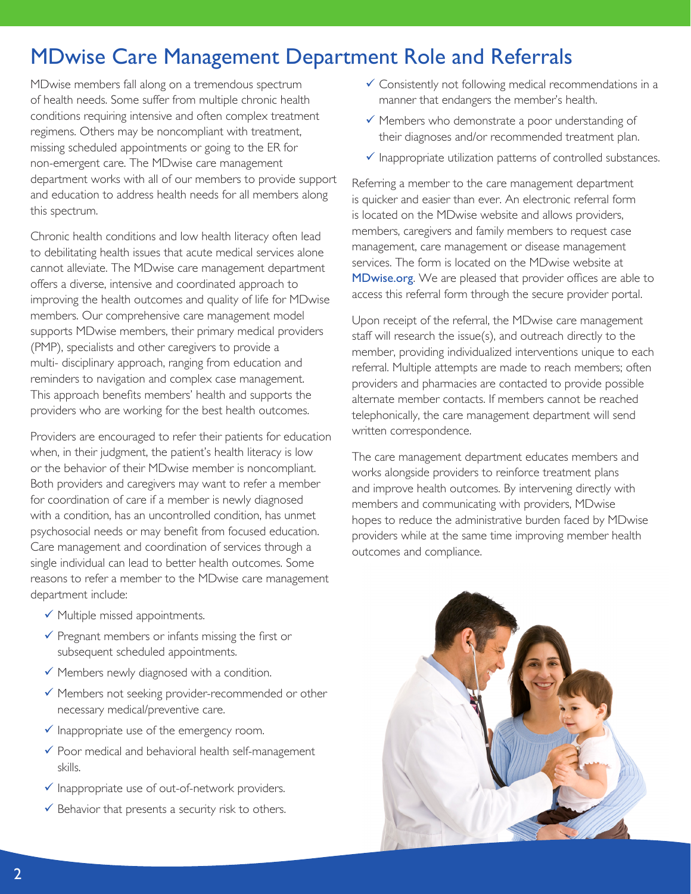#### <span id="page-1-0"></span>MDwise Care Management Department Role and Referrals

MDwise members fall along on a tremendous spectrum of health needs. Some suffer from multiple chronic health conditions requiring intensive and often complex treatment regimens. Others may be noncompliant with treatment, missing scheduled appointments or going to the ER for non-emergent care. The MDwise care management department works with all of our members to provide support and education to address health needs for all members along this spectrum.

Chronic health conditions and low health literacy often lead to debilitating health issues that acute medical services alone cannot alleviate. The MDwise care management department offers a diverse, intensive and coordinated approach to improving the health outcomes and quality of life for MDwise members. Our comprehensive care management model supports MDwise members, their primary medical providers (PMP), specialists and other caregivers to provide a multi- disciplinary approach, ranging from education and reminders to navigation and complex case management. This approach benefits members' health and supports the providers who are working for the best health outcomes.

Providers are encouraged to refer their patients for education when, in their judgment, the patient's health literacy is low or the behavior of their MDwise member is noncompliant. Both providers and caregivers may want to refer a member for coordination of care if a member is newly diagnosed with a condition, has an uncontrolled condition, has unmet psychosocial needs or may benefit from focused education. Care management and coordination of services through a single individual can lead to better health outcomes. Some reasons to refer a member to the MDwise care management department include:

- $\checkmark$  Multiple missed appointments.
- $\checkmark$  Pregnant members or infants missing the first or subsequent scheduled appointments.
- $\checkmark$  Members newly diagnosed with a condition.
- $\checkmark$  Members not seeking provider-recommended or other necessary medical/preventive care.
- $\checkmark$  Inappropriate use of the emergency room.
- $\checkmark$  Poor medical and behavioral health self-management skills.
- $\checkmark$  Inappropriate use of out-of-network providers.
- $\checkmark$  Behavior that presents a security risk to others.
- $\checkmark$  Consistently not following medical recommendations in a manner that endangers the member's health.
- $\checkmark$  Members who demonstrate a poor understanding of their diagnoses and/or recommended treatment plan.
- $\checkmark$  Inappropriate utilization patterns of controlled substances.

Referring a member to the care management department is quicker and easier than ever. An electronic referral form is located on the MDwise website and allows providers, members, caregivers and family members to request case management, care management or disease management services. The form is located on the MDwise website at [MDwise.org](http://www.mdwise.org/cmdmreferral/). We are pleased that provider offices are able to access this referral form through the secure provider portal.

Upon receipt of the referral, the MDwise care management staff will research the issue(s), and outreach directly to the member, providing individualized interventions unique to each referral. Multiple attempts are made to reach members; often providers and pharmacies are contacted to provide possible alternate member contacts. If members cannot be reached telephonically, the care management department will send written correspondence.

The care management department educates members and works alongside providers to reinforce treatment plans and improve health outcomes. By intervening directly with members and communicating with providers, MDwise hopes to reduce the administrative burden faced by MDwise providers while at the same time improving member health outcomes and compliance.

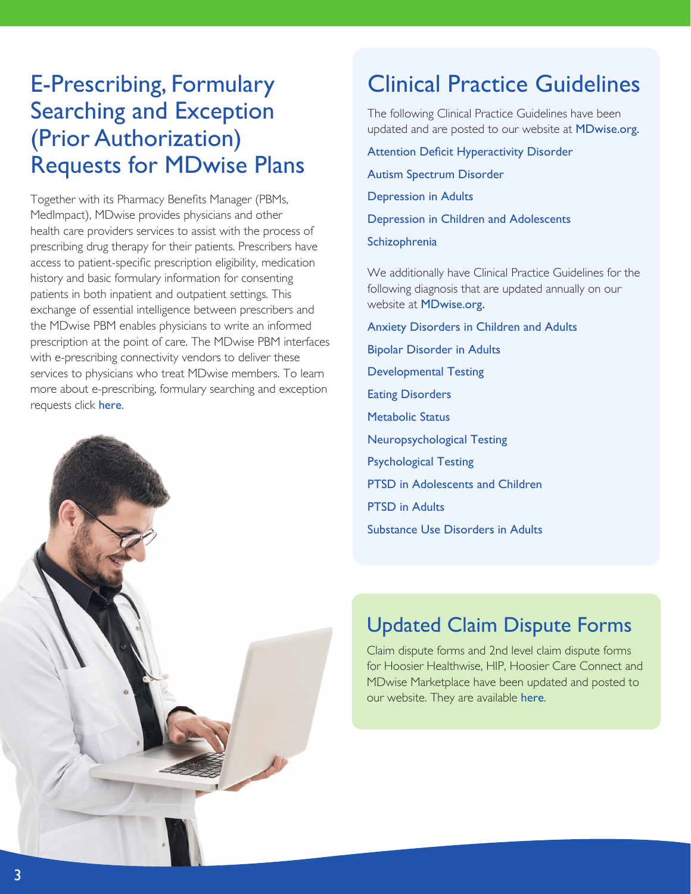#### <span id="page-2-0"></span>E-Prescribing, Formulary Searching and Exception (Prior Authorization) Requests for MDwise Plans

Together with its Pharmacy Benefits Manager (PBMs, MedImpact), MDwise provides physicians and other health care providers services to assist with the process of prescribing drug therapy for their patients. Prescribers have access to patient-specific prescription eligibility, medication history and basic formulary information for consenting patients in both inpatient and outpatient settings. This exchange of essential intelligence between prescribers and the MDwise PBM enables physicians to write an informed prescription at the point of care. The MDwise PBM interfaces with e-prescribing connectivity vendors to deliver these services to physicians who treat MDwise members. To learn more about e-prescribing, formulary searching and exception requests click [here](http://www.mdwise.org/MediaLibraries/MDwise/Files/For%20Providers/Provider%20Newsletter/E-Prescribing.doc).



### Clinical Practice Guidelines

The following Clinical Practice Guidelines have been updated and are posted to our website at **[MDwise.org](http://www.mdwise.org/for-providers/tools-and-resources/clinical-health-guidelines/).** 

A[ttention Deficit Hyperactivity Disorder](http://www.mdwise.org/MediaLibraries/MDwise/Files/For%20Providers/Behavioral%20Health/gl-adhd.pdf) [Autism Spectrum Disorder](http://www.mdwise.org/MediaLibraries/MDwise/Files/For%20Providers/Behavioral%20Health/gl-autism_spectrum_disorder.pdf) [Depression in Adults](http://www.mdwise.org/MediaLibraries/MDwise/Files/For%20Providers/Behavioral%20Health/gl-depressioninadults.pdf) [Depression in Children and Adolescents](http://www.mdwise.org/MediaLibraries/MDwise/Files/For%20Providers/Behavioral%20Health/gl-depressioninchildren.pdf)

[Schizophrenia](http://www.mdwise.org/MediaLibraries/MDwise/Files/For%20Providers/Behavioral%20Health/gl-schizophrenia.pdf)

We additionally have Clinical Practice Guidelines for the following diagnosis that are updated annually on our website at [MDwise.org](http://www.mdwise.org/for-providers/tools-and-resources/clinical-health-guidelines/).

[Anxiety Disorders in Children and Adults](http://www.mdwise.org/MediaLibraries/MDwise/Files/For%20Providers/Behavioral%20Health/gl-anxietydisorder.pdf) [Bipolar Disorder in Adults](http://www.mdwise.org/MediaLibraries/MDwise/Files/For%20Providers/Behavioral%20Health/gl-bipolar.pdf) [Developmental Testing](http://www.mdwise.org/MediaLibraries/MDwise/Files/For%20Providers/Behavioral%20Health/gl_developmentaltesting.pdf) [Eating Disorders](http://www.mdwise.org/MediaLibraries/MDwise/Files/For%20Providers/Behavioral%20Health/gl-eatingdisorder.pdf) [Metabolic Status](http://www.mdwise.org/MediaLibraries/MDwise/Files/For%20Providers/Behavioral%20Health/gl-metabolicstatus.pdf) [Neuropsychological Testing](http://www.mdwise.org/MediaLibraries/MDwise/Files/For%20Providers/Behavioral%20Health/gl-neuropsychtesting.pdf) [Psychological Testing](http://www.mdwise.org/MediaLibraries/MDwise/Files/For%20Providers/Behavioral%20Health/gl-psychtesting.pdf) [PTSD in Adolescents and Children](http://www.mdwise.org/MediaLibraries/MDwise/Files/For%20Providers/Behavioral%20Health/gl_PTSD-Children-Adolescents.pdf) [PTSD in Adults](http://www.mdwise.org/MediaLibraries/MDwise/Files/For%20Providers/Behavioral%20Health/gl_PTSD-Adults.pdf) [Substance Use Disorders in Adults](http://www.mdwise.org/MediaLibraries/MDwise/Files/For%20Providers/Behavioral%20Health/gl-substanceuse.pdf)

#### Updated Claim Dispute Forms

Claim dispute forms and 2nd level claim dispute forms for Hoosier Healthwise, HIP, Hoosier Care Connect and MDwise Marketplace have been updated and posted to our website. They are available [here](http://www.mdwise.org/for-providers/forms/claims/).